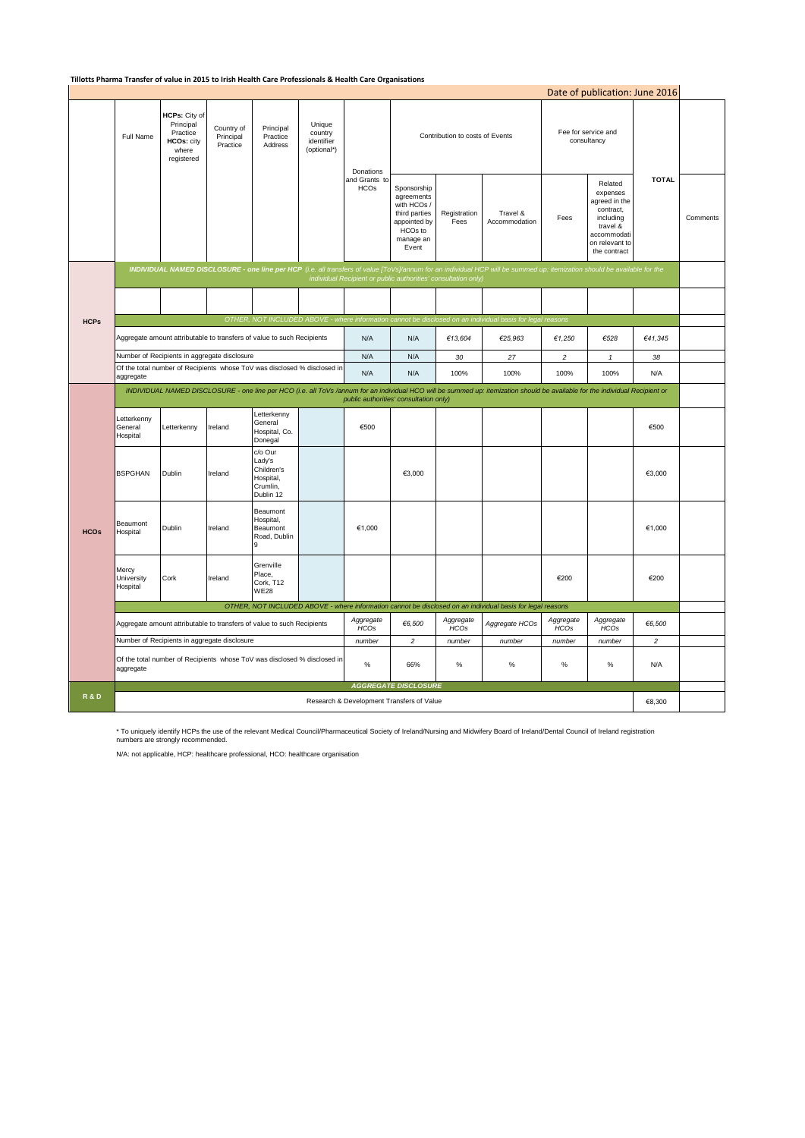#### **Tillotts Pharma Transfer of value in 2015 to Irish Health Care Professionals & Health Care Organisations**

|                |                                                                                                                                                                                                                                             |                                                                             |                                     |                                                                       |                                                |                              |                                                                                                            |                          |                                                                                                            |                                    | Date of publication: June 2016                                                                                              |                |          |
|----------------|---------------------------------------------------------------------------------------------------------------------------------------------------------------------------------------------------------------------------------------------|-----------------------------------------------------------------------------|-------------------------------------|-----------------------------------------------------------------------|------------------------------------------------|------------------------------|------------------------------------------------------------------------------------------------------------|--------------------------|------------------------------------------------------------------------------------------------------------|------------------------------------|-----------------------------------------------------------------------------------------------------------------------------|----------------|----------|
|                | Full Name                                                                                                                                                                                                                                   | HCPs: City of<br>Principal<br>Practice<br>HCOs: city<br>where<br>registered | Country of<br>Principal<br>Practice | Principal<br>Practice<br>Address                                      | Unique<br>country<br>identifier<br>(optional*) | Donations                    | Contribution to costs of Events                                                                            |                          |                                                                                                            | Fee for service and<br>consultancy |                                                                                                                             |                |          |
|                |                                                                                                                                                                                                                                             |                                                                             |                                     |                                                                       |                                                | and Grants to<br><b>HCOs</b> | Sponsorship<br>agreements<br>with HCOs /<br>third parties<br>appointed by<br>HCOs to<br>manage an<br>Event | Registration<br>Fees     | Travel &<br>Accommodation                                                                                  | Fees                               | Related<br>expenses<br>agreed in the<br>contract,<br>including<br>travel &<br>accommodati<br>on relevant to<br>the contract | <b>TOTAL</b>   | Comments |
|                | INDIVIDUAL NAMED DISCLOSURE - one line per HCP (i.e. all transfers of value [ToVs]/annum for an individual HCP will be summed up: itemization should be available for the<br>individual Recipient or public authorities' consultation only) |                                                                             |                                     |                                                                       |                                                |                              |                                                                                                            |                          |                                                                                                            |                                    |                                                                                                                             |                |          |
|                |                                                                                                                                                                                                                                             |                                                                             |                                     |                                                                       |                                                |                              |                                                                                                            |                          |                                                                                                            |                                    |                                                                                                                             |                |          |
| <b>HCPs</b>    |                                                                                                                                                                                                                                             |                                                                             |                                     |                                                                       |                                                |                              |                                                                                                            |                          | OTHER, NOT INCLUDED ABOVE - where information cannot be disclosed on an individual basis for legal reasons |                                    |                                                                                                                             |                |          |
|                | Aggregate amount attributable to transfers of value to such Recipients                                                                                                                                                                      |                                                                             |                                     |                                                                       |                                                | N/A                          | N/A                                                                                                        | €13,604                  | €25,963                                                                                                    | €1,250                             | €528                                                                                                                        | €41,345        |          |
|                | Number of Recipients in aggregate disclosure                                                                                                                                                                                                |                                                                             |                                     |                                                                       |                                                | N/A                          | N/A                                                                                                        | 30                       | 27                                                                                                         | $\overline{c}$                     | $\mathbf{1}$                                                                                                                | 38             |          |
|                | Of the total number of Recipients whose ToV was disclosed % disclosed in<br>aggregate                                                                                                                                                       |                                                                             |                                     |                                                                       |                                                | N/A                          | N/A                                                                                                        | 100%                     | 100%                                                                                                       | 100%                               | 100%                                                                                                                        | N/A            |          |
|                | INDIVIDUAL NAMED DISCLOSURE - one line per HCO (i.e. all ToVs /annum for an individual HCO will be summed up: itemization should be available for the individual Recipient or                                                               |                                                                             |                                     |                                                                       |                                                |                              |                                                                                                            |                          |                                                                                                            |                                    |                                                                                                                             |                |          |
| <b>HCOs</b>    | Letterkenny                                                                                                                                                                                                                                 |                                                                             |                                     |                                                                       |                                                |                              | public authorities' consultation only)                                                                     |                          |                                                                                                            |                                    |                                                                                                                             |                |          |
|                | Letterkenny<br>General<br>Hospital                                                                                                                                                                                                          | Letterkenny                                                                 | Ireland                             | General<br>Hospital, Co.<br>Donegal                                   |                                                | €500                         |                                                                                                            |                          |                                                                                                            |                                    |                                                                                                                             | €500           |          |
|                | <b>BSPGHAN</b>                                                                                                                                                                                                                              | Dublin                                                                      | Ireland                             | c/o Our<br>Lady's<br>Children's<br>Hospital,<br>Crumlin,<br>Dublin 12 |                                                |                              | €3,000                                                                                                     |                          |                                                                                                            |                                    |                                                                                                                             | €3,000         |          |
|                | Beaumont<br>Hospital                                                                                                                                                                                                                        | Dublin                                                                      | Ireland                             | Beaumont<br>Hospital,<br>Beaumont<br>Road, Dublin                     |                                                | €1,000                       |                                                                                                            |                          |                                                                                                            |                                    |                                                                                                                             | €1,000         |          |
|                | Mercy<br>University<br>Hospital                                                                                                                                                                                                             | Cork                                                                        | Ireland                             | Grenville<br>Place,<br>Cork, T12<br><b>WE28</b>                       |                                                |                              |                                                                                                            |                          |                                                                                                            | €200                               |                                                                                                                             | €200           |          |
|                | OTHER, NOT INCLUDED ABOVE - where information cannot be disclosed on an individual basis for legal reasons                                                                                                                                  |                                                                             |                                     |                                                                       |                                                |                              |                                                                                                            |                          |                                                                                                            |                                    |                                                                                                                             |                |          |
|                | Aggregate amount attributable to transfers of value to such Recipients                                                                                                                                                                      |                                                                             |                                     |                                                                       |                                                | Aggregate<br><b>HCOs</b>     | €6,500                                                                                                     | Aggregate<br><b>HCOs</b> | Aggregate HCOs                                                                                             | Aggregate<br><b>HCOs</b>           | Aggregate<br><b>HCOs</b>                                                                                                    | €6,500         |          |
|                | Number of Recipients in aggregate disclosure                                                                                                                                                                                                |                                                                             |                                     |                                                                       |                                                | number                       | $\overline{c}$                                                                                             | number                   | number                                                                                                     | number                             | number                                                                                                                      | $\overline{c}$ |          |
|                | Of the total number of Recipients whose ToV was disclosed % disclosed in<br>aggregate                                                                                                                                                       |                                                                             |                                     |                                                                       |                                                | %                            | 66%                                                                                                        | $\%$                     | $\%$                                                                                                       | $\%$                               | $\%$                                                                                                                        | N/A            |          |
|                | <b>AGGREGATE DISCLOSURE</b>                                                                                                                                                                                                                 |                                                                             |                                     |                                                                       |                                                |                              |                                                                                                            |                          |                                                                                                            |                                    |                                                                                                                             |                |          |
| <b>R&amp;D</b> | Research & Development Transfers of Value                                                                                                                                                                                                   |                                                                             |                                     |                                                                       |                                                |                              |                                                                                                            |                          |                                                                                                            |                                    |                                                                                                                             | €8,300         |          |

\* To uniquely identify HCPs the use of the relevant Medical Council/Pharmaceutical Society of Ireland/Nursing and Midwifery Board of Ireland/Dental Council of Ireland registration numbers are strongly recommended.

N/A: not applicable, HCP: healthcare professional, HCO: healthcare organisation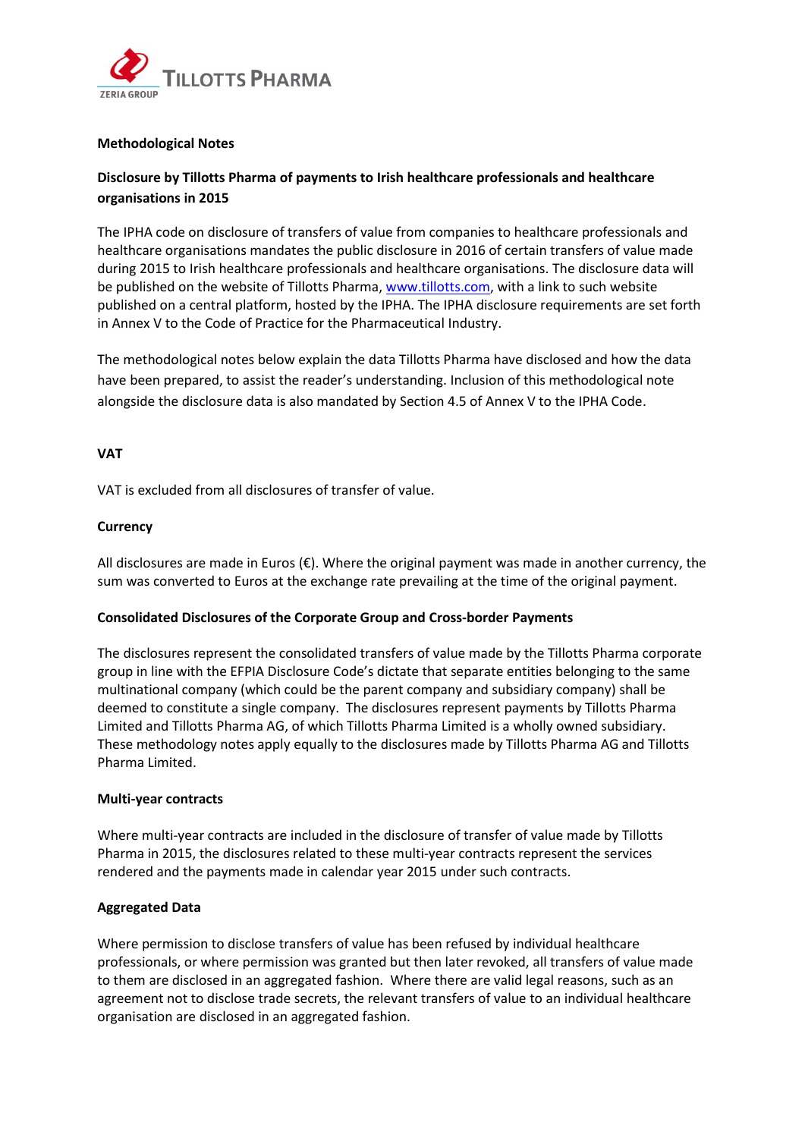

# **Methodological Notes**

# **Disclosure by Tillotts Pharma of payments to Irish healthcare professionals and healthcare organisations in 2015**

The IPHA code on disclosure of transfers of value from companies to healthcare professionals and healthcare organisations mandates the public disclosure in 2016 of certain transfers of value made during 2015 to Irish healthcare professionals and healthcare organisations. The disclosure data will be published on the website of Tillotts Pharma[, www.tillotts.com,](http://www.tillotts.com/) with a link to such website published on a central platform, hosted by the IPHA. The IPHA disclosure requirements are set forth in Annex V to the Code of Practice for the Pharmaceutical Industry.

The methodological notes below explain the data Tillotts Pharma have disclosed and how the data have been prepared, to assist the reader's understanding. Inclusion of this methodological note alongside the disclosure data is also mandated by Section 4.5 of Annex V to the IPHA Code.

# **VAT**

VAT is excluded from all disclosures of transfer of value.

#### **Currency**

All disclosures are made in Euros (€). Where the original payment was made in another currency, the sum was converted to Euros at the exchange rate prevailing at the time of the original payment.

# **Consolidated Disclosures of the Corporate Group and Cross-border Payments**

The disclosures represent the consolidated transfers of value made by the Tillotts Pharma corporate group in line with the EFPIA Disclosure Code's dictate that separate entities belonging to the same multinational company (which could be the parent company and subsidiary company) shall be deemed to constitute a single company. The disclosures represent payments by Tillotts Pharma Limited and Tillotts Pharma AG, of which Tillotts Pharma Limited is a wholly owned subsidiary. These methodology notes apply equally to the disclosures made by Tillotts Pharma AG and Tillotts Pharma Limited.

# **Multi-year contracts**

Where multi-year contracts are included in the disclosure of transfer of value made by Tillotts Pharma in 2015, the disclosures related to these multi-year contracts represent the services rendered and the payments made in calendar year 2015 under such contracts.

# **Aggregated Data**

Where permission to disclose transfers of value has been refused by individual healthcare professionals, or where permission was granted but then later revoked, all transfers of value made to them are disclosed in an aggregated fashion. Where there are valid legal reasons, such as an agreement not to disclose trade secrets, the relevant transfers of value to an individual healthcare organisation are disclosed in an aggregated fashion.